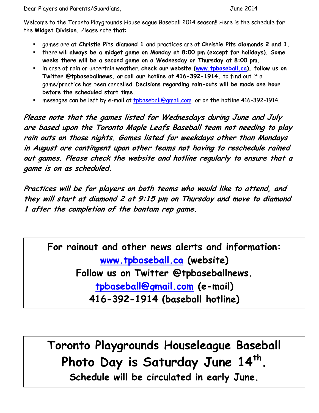Dear Players and Parents/Guardians, June 2014

Welcome to the Toronto Playgrounds Houseleague Baseball 2014 season!! Here is the schedule for the **Midget Division**. Please note that:

- games are at **Christie Pits diamond 1** and practices are at **Christie Pits diamonds 2 and 1.**
- there will **always be a midget game on Monday at 8:00 pm (except for holidays). Some weeks there will be a second game on a Wednesday or Thursday at 8:00 pm.**
- in case of rain or uncertain weather, **check our website (www.tpbaseball.ca), follow us on Twitter @tpbaseballnews, or call our hotline at 416-392-1914,** to find out if a game/practice has been cancelled. **Decisions regarding rain-outs will be made one hour before the scheduled start time.**
- messages can be left by e-mail at tpbaseball@gmail.com or on the hotline 416-392-1914.

*Please note that the games listed for Wednesdays during June and July are based upon the Toronto Maple Leafs Baseball team not needing to play rain outs on those nights. Games listed for weekdays other than Mondays in August are contingent upon other teams not having to reschedule rained out games. Please check the website and hotline regularly to ensure that <sup>a</sup> game is on as scheduled.*

*Practices will be for players on both teams who would like to attend, and they will start at diamond 2 at 9:15 pm on Thursday and move to diamond 1 after the completion of the bantam rep game.*

**For rainout and other news alerts and information: www.tpbaseball.ca (website) Follow us on Twitter @tpbaseballnews. tpbaseball@gmail.com (e-mail) 416-392-1914 (baseball hotline)**

**Toronto Playgrounds Houseleague Baseball Photo Day is Saturday June 14th. Schedule will be circulated in early June.**